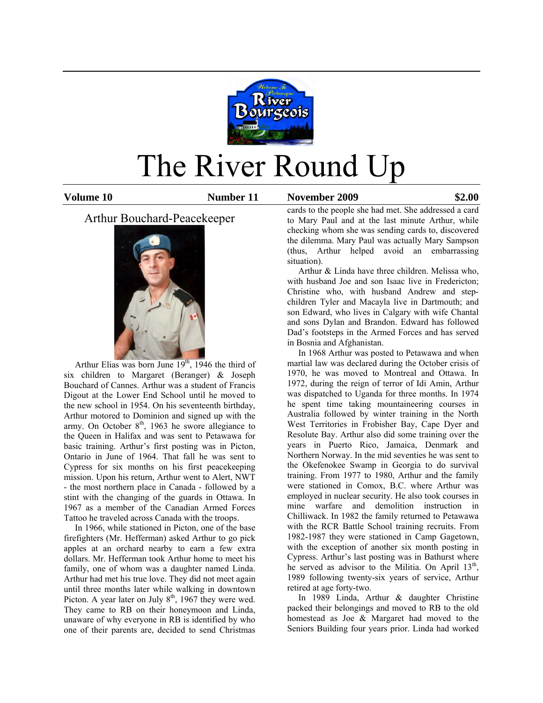

# The River Round Up

**Volume 10 Number 11 November 2009 \$2.00**

Arthur Bouchard-Peacekeeper



Arthur Elias was born June  $19<sup>th</sup>$ , 1946 the third of six children to Margaret (Beranger) & Joseph Bouchard of Cannes. Arthur was a student of Francis Digout at the Lower End School until he moved to the new school in 1954. On his seventeenth birthday, Arthur motored to Dominion and signed up with the army. On October  $8<sup>th</sup>$ , 1963 he swore allegiance to the Queen in Halifax and was sent to Petawawa for basic training. Arthur's first posting was in Picton, Ontario in June of 1964. That fall he was sent to Cypress for six months on his first peacekeeping mission. Upon his return, Arthur went to Alert, NWT - the most northern place in Canada - followed by a stint with the changing of the guards in Ottawa. In 1967 as a member of the Canadian Armed Forces Tattoo he traveled across Canada with the troops.

 In 1966, while stationed in Picton, one of the base firefighters (Mr. Hefferman) asked Arthur to go pick apples at an orchard nearby to earn a few extra dollars. Mr. Hefferman took Arthur home to meet his family, one of whom was a daughter named Linda. Arthur had met his true love. They did not meet again until three months later while walking in downtown Picton. A year later on July 8<sup>th</sup>, 1967 they were wed. They came to RB on their honeymoon and Linda, unaware of why everyone in RB is identified by who one of their parents are, decided to send Christmas

cards to the people she had met. She addressed a card to Mary Paul and at the last minute Arthur, while checking whom she was sending cards to, discovered the dilemma. Mary Paul was actually Mary Sampson (thus, Arthur helped avoid an embarrassing situation).

 Arthur & Linda have three children. Melissa who, with husband Joe and son Isaac live in Fredericton; Christine who, with husband Andrew and stepchildren Tyler and Macayla live in Dartmouth; and son Edward, who lives in Calgary with wife Chantal and sons Dylan and Brandon. Edward has followed Dad's footsteps in the Armed Forces and has served in Bosnia and Afghanistan.

 In 1968 Arthur was posted to Petawawa and when martial law was declared during the October crisis of 1970, he was moved to Montreal and Ottawa. In 1972, during the reign of terror of Idi Amin, Arthur was dispatched to Uganda for three months. In 1974 he spent time taking mountaineering courses in Australia followed by winter training in the North West Territories in Frobisher Bay, Cape Dyer and Resolute Bay. Arthur also did some training over the years in Puerto Rico, Jamaica, Denmark and Northern Norway. In the mid seventies he was sent to the Okefenokee Swamp in Georgia to do survival training. From 1977 to 1980, Arthur and the family were stationed in Comox, B.C. where Arthur was employed in nuclear security. He also took courses in mine warfare and demolition instruction in Chilliwack. In 1982 the family returned to Petawawa with the RCR Battle School training recruits. From 1982-1987 they were stationed in Camp Gagetown, with the exception of another six month posting in Cypress. Arthur's last posting was in Bathurst where he served as advisor to the Militia. On April 13<sup>th</sup>, 1989 following twenty-six years of service, Arthur retired at age forty-two.

 In 1989 Linda, Arthur & daughter Christine packed their belongings and moved to RB to the old homestead as Joe & Margaret had moved to the Seniors Building four years prior. Linda had worked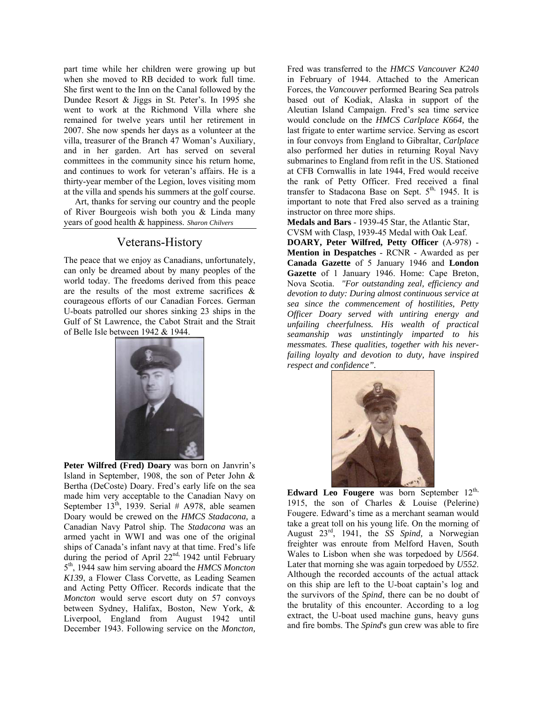part time while her children were growing up but when she moved to RB decided to work full time. She first went to the Inn on the Canal followed by the Dundee Resort & Jiggs in St. Peter's. In 1995 she went to work at the Richmond Villa where she remained for twelve years until her retirement in 2007. She now spends her days as a volunteer at the villa, treasurer of the Branch 47 Woman's Auxiliary, and in her garden. Art has served on several committees in the community since his return home, and continues to work for veteran's affairs. He is a thirty-year member of the Legion, loves visiting mom at the villa and spends his summers at the golf course.

 Art, thanks for serving our country and the people of River Bourgeois wish both you & Linda many years of good health & happiness. *Sharon Chilvers* 

## Veterans-History

The peace that we enjoy as Canadians, unfortunately, can only be dreamed about by many peoples of the world today. The freedoms derived from this peace are the results of the most extreme sacrifices & courageous efforts of our Canadian Forces. German U-boats patrolled our shores sinking 23 ships in the Gulf of St Lawrence, the Cabot Strait and the Strait of Belle Isle between 1942 & 1944.



**Peter Wilfred (Fred) Doary** was born on Janvrin's Island in September, 1908, the son of Peter John & Bertha (DeCoste) Doary. Fred's early life on the sea made him very acceptable to the Canadian Navy on September 13<sup>th</sup>, 1939. Serial # A978, able seamen Doary would be crewed on the *HMCS Stadacona,* a Canadian Navy Patrol ship. The *Stadacona* was an armed yacht in WWI and was one of the original ships of Canada's infant navy at that time. Fred's life during the period of April  $22<sup>nd</sup>$ , 1942 until February 5th, 1944 saw him serving aboard the *HMCS Moncton K139*, a Flower Class Corvette, as Leading Seamen and Acting Petty Officer. Records indicate that the *Moncton* would serve escort duty on 57 convoys between Sydney, Halifax, Boston, New York, & Liverpool, England from August 1942 until December 1943. Following service on the *Moncton,* Fred was transferred to the *HMCS Vancouver K240* in February of 1944. Attached to the American Forces, the *Vancouver* performed Bearing Sea patrols based out of Kodiak, Alaska in support of the Aleutian Island Campaign. Fred's sea time service would conclude on the *HMCS Carlplace K664,* the last frigate to enter wartime service. Serving as escort in four convoys from England to Gibraltar, *Carlplace* also performed her duties in returning Royal Navy submarines to England from refit in the US. Stationed at CFB Cornwallis in late 1944, Fred would receive the rank of Petty Officer. Fred received a final transfer to Stadacona Base on Sept.  $5<sup>th</sup>$ , 1945. It is important to note that Fred also served as a training instructor on three more ships.

**Medals and Bars** - 1939-45 Star, the Atlantic Star,

CVSM with Clasp, 1939-45 Medal with Oak Leaf.

**DOARY, Peter Wilfred, Petty Officer** (A-978) - **Mention in Despatches** - RCNR - Awarded as per **Canada Gazette** of 5 January 1946 and **London Gazette** of 1 January 1946. Home: Cape Breton, Nova Scotia. *"For outstanding zeal, efficiency and devotion to duty: During almost continuous service at sea since the commencement of hostilities, Petty Officer Doary served with untiring energy and unfailing cheerfulness. His wealth of practical seamanship was unstintingly imparted to his messmates. These qualities, together with his neverfailing loyalty and devotion to duty, have inspired respect and confidence".*



Edward Leo Fougere was born September 12<sup>th,</sup> 1915, the son of Charles & Louise (Pelerine) Fougere. Edward's time as a merchant seaman would take a great toll on his young life. On the morning of August 23rd, 1941, the *SS Spind,* a Norwegian freighter was enroute from Melford Haven, South Wales to Lisbon when she was torpedoed by *U564*. Later that morning she was again torpedoed by *U552*. Although the recorded accounts of the actual attack on this ship are left to the U-boat captain's log and the survivors of the *Spind*, there can be no doubt of the brutality of this encounter. According to a log extract, the U-boat used machine guns, heavy guns and fire bombs. The *Spind*'s gun crew was able to fire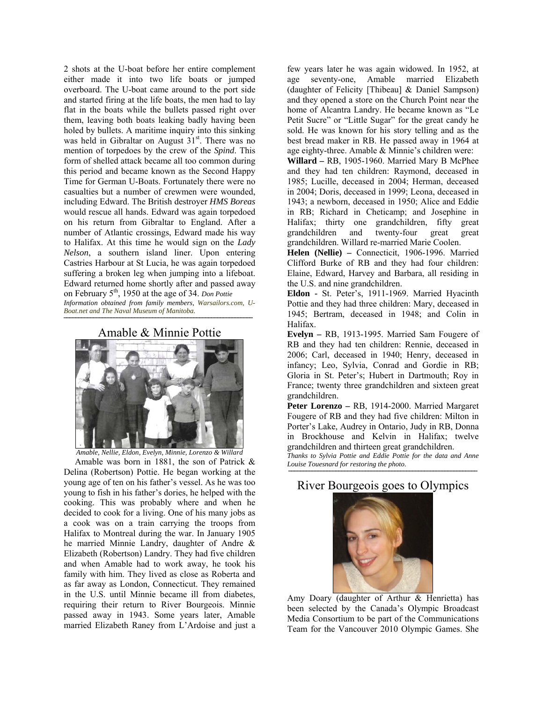2 shots at the U-boat before her entire complement either made it into two life boats or jumped overboard. The U-boat came around to the port side and started firing at the life boats, the men had to lay flat in the boats while the bullets passed right over them, leaving both boats leaking badly having been holed by bullets. A maritime inquiry into this sinking was held in Gibraltar on August  $31<sup>st</sup>$ . There was no mention of torpedoes by the crew of the *Spind*. This form of shelled attack became all too common during this period and became known as the Second Happy Time for German U-Boats. Fortunately there were no casualties but a number of crewmen were wounded, including Edward. The British destroyer *HMS Boreas* would rescue all hands. Edward was again torpedoed on his return from Gibraltar to England. After a number of Atlantic crossings, Edward made his way to Halifax. At this time he would sign on the *Lady Nelson*, a southern island liner. Upon entering Castries Harbour at St Lucia, he was again torpedoed suffering a broken leg when jumping into a lifeboat. Edward returned home shortly after and passed away on February 5th, 1950 at the age of 34. *Don Pottie Information obtained from family members, Warsailors.com, U-*

*Boat.net and The Naval Museum of Manitoba.*

⎯⎯⎯⎯⎯⎯⎯⎯⎯⎯⎯⎯⎯⎯⎯⎯⎯⎯⎯⎯⎯⎯⎯⎯⎯⎯⎯⎯⎯⎯⎯⎯⎯⎯⎯⎯⎯⎯⎯⎯⎯⎯⎯⎯⎯⎯⎯⎯⎯⎯⎯⎯⎯⎯⎯⎯⎯⎯⎯⎯⎯⎯⎯⎯ Amable & Minnie Pottie



*Amable, Nellie, Eldon, Evelyn, Minnie, Lorenzo & Willard* 

 Amable was born in 1881, the son of Patrick & Delina (Robertson) Pottie. He began working at the young age of ten on his father's vessel. As he was too young to fish in his father's dories, he helped with the cooking. This was probably where and when he decided to cook for a living. One of his many jobs as a cook was on a train carrying the troops from Halifax to Montreal during the war. In January 1905 he married Minnie Landry, daughter of Andre & Elizabeth (Robertson) Landry. They had five children and when Amable had to work away, he took his family with him. They lived as close as Roberta and as far away as London, Connecticut. They remained in the U.S. until Minnie became ill from diabetes, requiring their return to River Bourgeois. Minnie passed away in 1943. Some years later, Amable married Elizabeth Raney from L'Ardoise and just a few years later he was again widowed. In 1952, at age seventy-one, Amable married Elizabeth (daughter of Felicity [Thibeau] & Daniel Sampson) and they opened a store on the Church Point near the home of Alcantra Landry. He became known as "Le Petit Sucre" or "Little Sugar" for the great candy he sold. He was known for his story telling and as the best bread maker in RB. He passed away in 1964 at age eighty-three. Amable & Minnie's children were:

**Willard –** RB, 1905-1960. Married Mary B McPhee and they had ten children: Raymond, deceased in 1985; Lucille, deceased in 2004; Herman, deceased in 2004; Doris, deceased in 1999; Leona, deceased in 1943; a newborn, deceased in 1950; Alice and Eddie in RB; Richard in Cheticamp; and Josephine in Halifax; thirty one grandchildren, fifty great grandchildren and twenty-four great great grandchildren. Willard re-married Marie Coolen.

**Helen (Nellie) –** Connecticit, 1906-1996. Married Clifford Burke of RB and they had four children: Elaine, Edward, Harvey and Barbara, all residing in the U.S. and nine grandchildren.

**Eldon -** St. Peter's, 1911-1969. Married Hyacinth Pottie and they had three children: Mary, deceased in 1945; Bertram, deceased in 1948; and Colin in Halifax.

**Evelyn –** RB, 1913-1995. Married Sam Fougere of RB and they had ten children: Rennie, deceased in 2006; Carl, deceased in 1940; Henry, deceased in infancy; Leo, Sylvia, Conrad and Gordie in RB; Gloria in St. Peter's; Hubert in Dartmouth; Roy in France; twenty three grandchildren and sixteen great grandchildren.

**Peter Lorenzo –** RB, 1914-2000. Married Margaret Fougere of RB and they had five children: Milton in Porter's Lake, Audrey in Ontario, Judy in RB, Donna in Brockhouse and Kelvin in Halifax; twelve grandchildren and thirteen great grandchildren.

*Thanks to Sylvia Pottie and Eddie Pottie for the data and Anne Louise Touesnard for restoring the photo.* 

⎯⎯⎯⎯⎯⎯⎯⎯⎯⎯⎯⎯⎯⎯⎯⎯⎯⎯⎯⎯⎯⎯⎯⎯⎯⎯⎯⎯⎯⎯⎯⎯⎯⎯⎯⎯⎯⎯⎯⎯⎯⎯⎯⎯⎯⎯⎯⎯⎯⎯⎯⎯⎯⎯⎯⎯⎯⎯⎯⎯⎯⎯⎯⎯ River Bourgeois goes to Olympics



Amy Doary (daughter of Arthur & Henrietta) has been selected by the Canada's Olympic Broadcast Media Consortium to be part of the Communications Team for the Vancouver 2010 Olympic Games. She